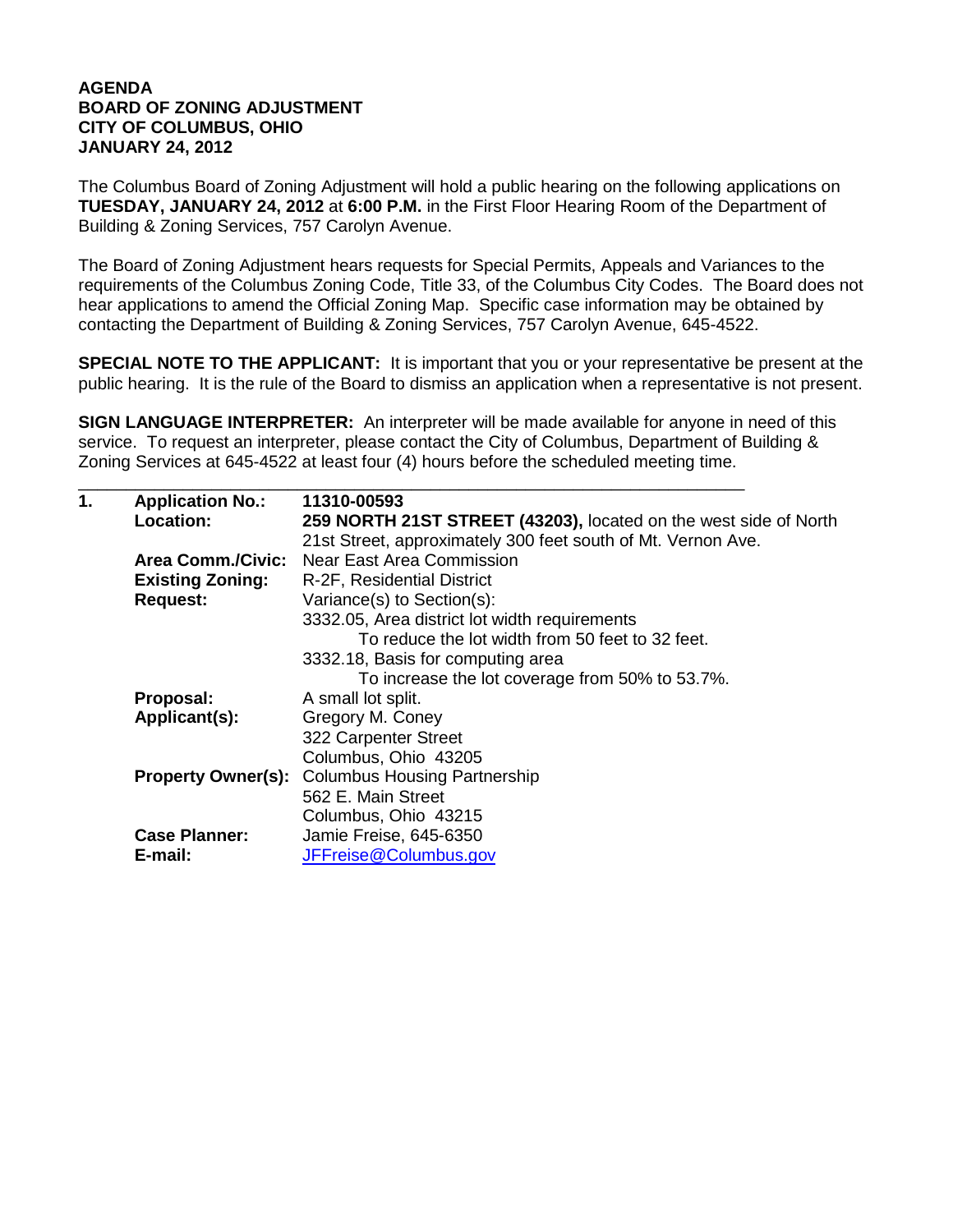## **AGENDA BOARD OF ZONING ADJUSTMENT CITY OF COLUMBUS, OHIO JANUARY 24, 2012**

The Columbus Board of Zoning Adjustment will hold a public hearing on the following applications on **TUESDAY, JANUARY 24, 2012** at **6:00 P.M.** in the First Floor Hearing Room of the Department of Building & Zoning Services, 757 Carolyn Avenue.

The Board of Zoning Adjustment hears requests for Special Permits, Appeals and Variances to the requirements of the Columbus Zoning Code, Title 33, of the Columbus City Codes. The Board does not hear applications to amend the Official Zoning Map. Specific case information may be obtained by contacting the Department of Building & Zoning Services, 757 Carolyn Avenue, 645-4522.

**SPECIAL NOTE TO THE APPLICANT:** It is important that you or your representative be present at the public hearing. It is the rule of the Board to dismiss an application when a representative is not present.

**SIGN LANGUAGE INTERPRETER:** An interpreter will be made available for anyone in need of this service. To request an interpreter, please contact the City of Columbus, Department of Building & Zoning Services at 645-4522 at least four (4) hours before the scheduled meeting time.

| 1. | <b>Application No.:</b><br>Location: | 11310-00593<br>259 NORTH 21ST STREET (43203), located on the west side of North |
|----|--------------------------------------|---------------------------------------------------------------------------------|
|    |                                      | 21st Street, approximately 300 feet south of Mt. Vernon Ave.                    |
|    | <b>Area Comm./Civic:</b>             | <b>Near East Area Commission</b>                                                |
|    | <b>Existing Zoning:</b>              | R-2F, Residential District                                                      |
|    | <b>Request:</b>                      | Variance(s) to Section(s):                                                      |
|    |                                      | 3332.05, Area district lot width requirements                                   |
|    |                                      | To reduce the lot width from 50 feet to 32 feet.                                |
|    |                                      | 3332.18, Basis for computing area                                               |
|    |                                      | To increase the lot coverage from 50% to 53.7%.                                 |
|    | Proposal:                            | A small lot split.                                                              |
|    | Applicant(s):                        | Gregory M. Coney                                                                |
|    |                                      | 322 Carpenter Street                                                            |
|    |                                      | Columbus, Ohio 43205                                                            |
|    | <b>Property Owner(s):</b>            | <b>Columbus Housing Partnership</b>                                             |
|    |                                      | 562 E. Main Street                                                              |
|    |                                      | Columbus, Ohio 43215                                                            |
|    | <b>Case Planner:</b>                 | Jamie Freise, 645-6350                                                          |
|    | E-mail:                              | JFFreise@Columbus.gov                                                           |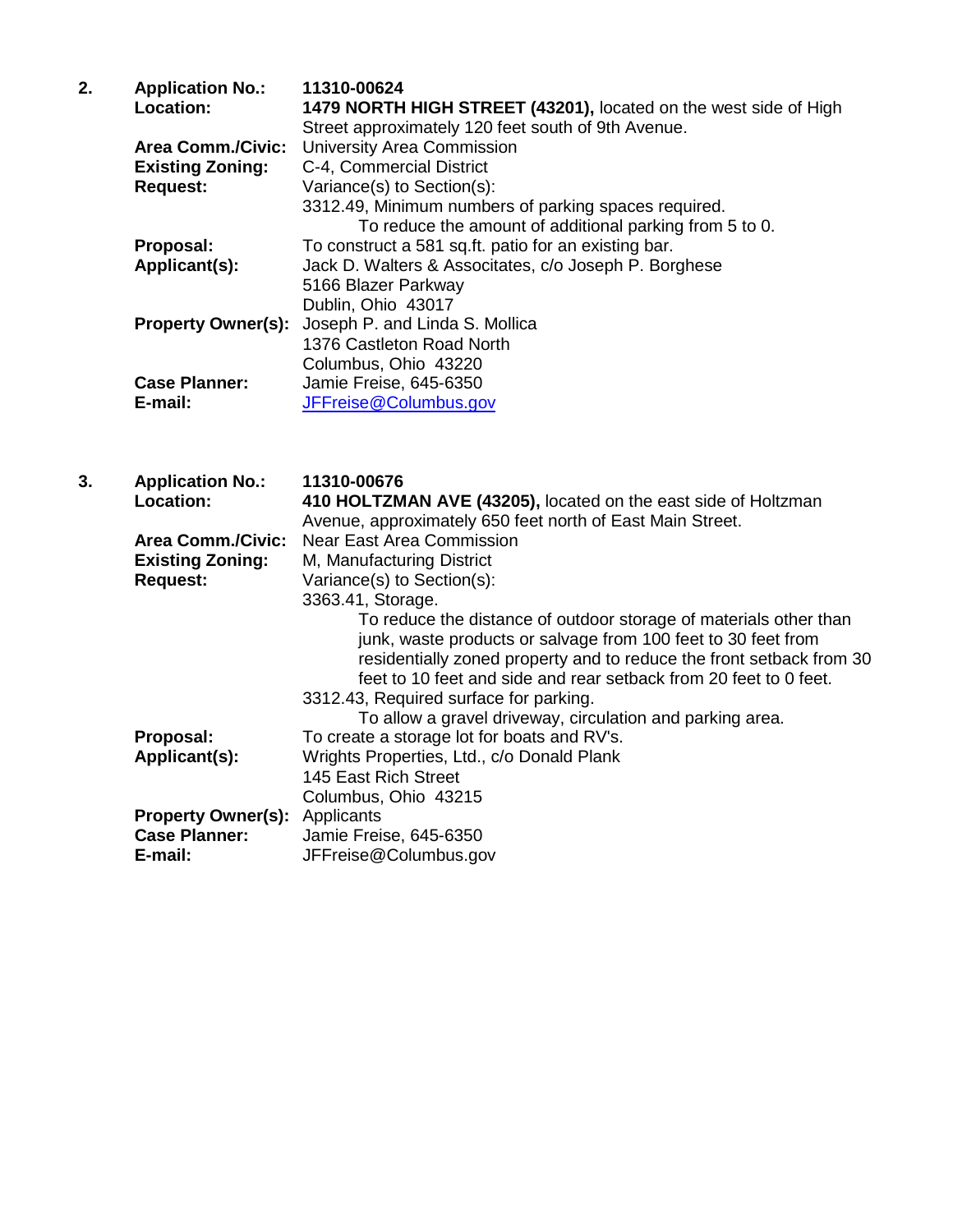| 2. | <b>Application No.:</b><br>Location: | 11310-00624<br>1479 NORTH HIGH STREET (43201), located on the west side of High<br>Street approximately 120 feet south of 9th Avenue. |
|----|--------------------------------------|---------------------------------------------------------------------------------------------------------------------------------------|
|    | <b>Area Comm./Civic:</b>             | University Area Commission                                                                                                            |
|    | <b>Existing Zoning:</b>              | C-4, Commercial District                                                                                                              |
|    | <b>Request:</b>                      | Variance(s) to Section(s):                                                                                                            |
|    |                                      | 3312.49, Minimum numbers of parking spaces required.                                                                                  |
|    |                                      | To reduce the amount of additional parking from 5 to 0.                                                                               |
|    | Proposal:                            | To construct a 581 sq.ft. patio for an existing bar.                                                                                  |
|    | Applicant(s):                        | Jack D. Walters & Associtates, c/o Joseph P. Borghese                                                                                 |
|    |                                      | 5166 Blazer Parkway                                                                                                                   |
|    |                                      | Dublin, Ohio 43017                                                                                                                    |
|    |                                      | <b>Property Owner(s):</b> Joseph P. and Linda S. Mollica                                                                              |
|    |                                      | 1376 Castleton Road North                                                                                                             |
|    |                                      | Columbus, Ohio 43220                                                                                                                  |
|    | <b>Case Planner:</b>                 | Jamie Freise, 645-6350                                                                                                                |
|    | E-mail:                              | JFFreise@Columbus.gov                                                                                                                 |

| 3. | <b>Application No.:</b><br>Location: | 11310-00676<br>410 HOLTZMAN AVE (43205), located on the east side of Holtzman<br>Avenue, approximately 650 feet north of East Main Street.                                                                                                                                                                                |
|----|--------------------------------------|---------------------------------------------------------------------------------------------------------------------------------------------------------------------------------------------------------------------------------------------------------------------------------------------------------------------------|
|    | <b>Area Comm./Civic:</b>             | Near East Area Commission                                                                                                                                                                                                                                                                                                 |
|    | <b>Existing Zoning:</b>              | M, Manufacturing District                                                                                                                                                                                                                                                                                                 |
|    | <b>Request:</b>                      | Variance(s) to Section(s):                                                                                                                                                                                                                                                                                                |
|    |                                      | 3363.41, Storage.                                                                                                                                                                                                                                                                                                         |
|    |                                      | To reduce the distance of outdoor storage of materials other than<br>junk, waste products or salvage from 100 feet to 30 feet from<br>residentially zoned property and to reduce the front setback from 30<br>feet to 10 feet and side and rear setback from 20 feet to 0 feet.<br>3312.43, Required surface for parking. |
|    |                                      | To allow a gravel driveway, circulation and parking area.                                                                                                                                                                                                                                                                 |
|    | Proposal:                            | To create a storage lot for boats and RV's.                                                                                                                                                                                                                                                                               |
|    | Applicant(s):                        | Wrights Properties, Ltd., c/o Donald Plank                                                                                                                                                                                                                                                                                |
|    |                                      | 145 East Rich Street                                                                                                                                                                                                                                                                                                      |
|    |                                      | Columbus, Ohio 43215                                                                                                                                                                                                                                                                                                      |
|    | <b>Property Owner(s): Applicants</b> |                                                                                                                                                                                                                                                                                                                           |
|    | <b>Case Planner:</b>                 | Jamie Freise, 645-6350                                                                                                                                                                                                                                                                                                    |
|    | E-mail:                              | JFFreise@Columbus.gov                                                                                                                                                                                                                                                                                                     |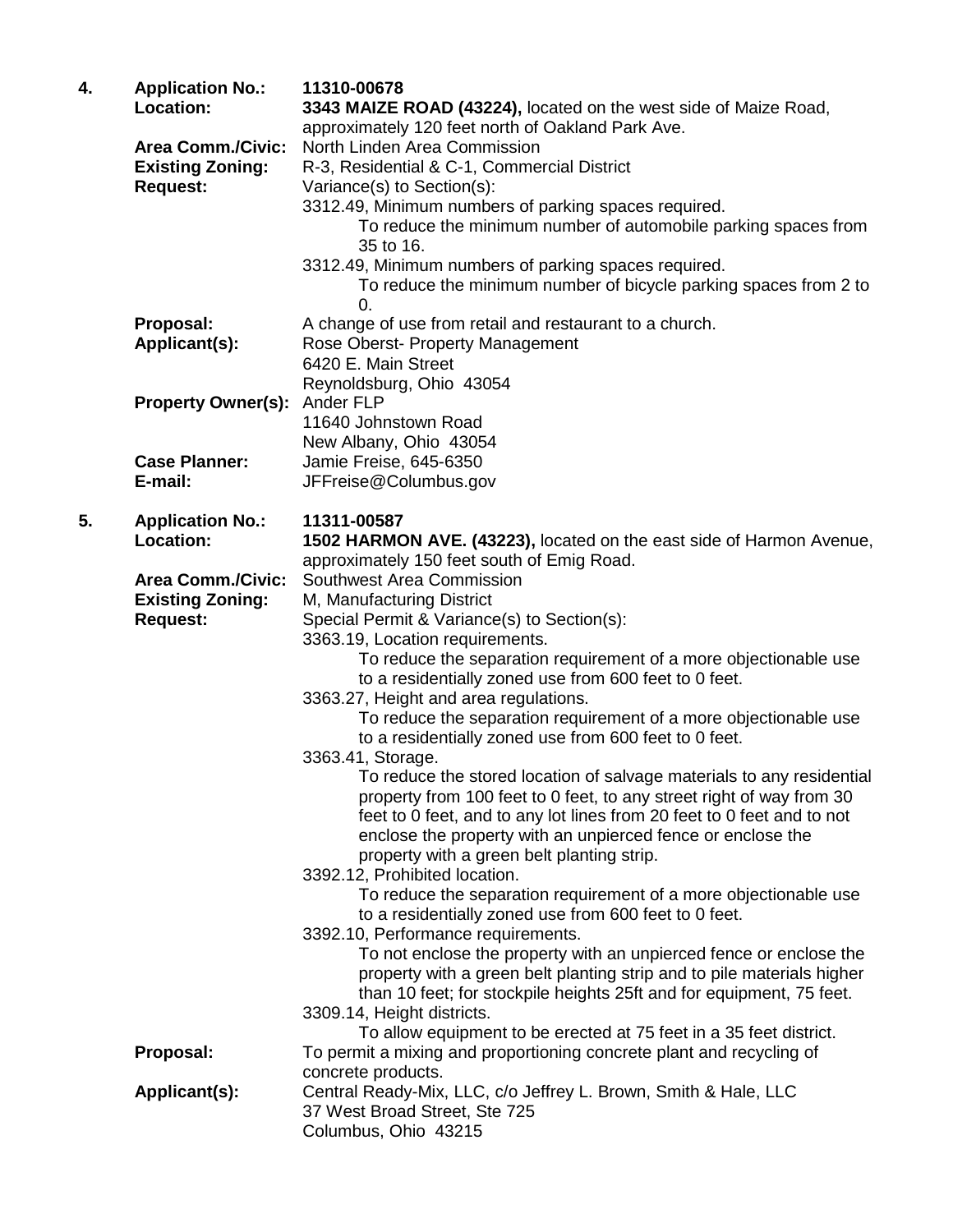| 4. | <b>Application No.:</b><br>Location:                | 11310-00678<br>3343 MAIZE ROAD (43224), located on the west side of Maize Road, |
|----|-----------------------------------------------------|---------------------------------------------------------------------------------|
|    |                                                     | approximately 120 feet north of Oakland Park Ave.                               |
|    | <b>Area Comm./Civic:</b><br><b>Existing Zoning:</b> | North Linden Area Commission                                                    |
|    |                                                     | R-3, Residential & C-1, Commercial District                                     |
|    | <b>Request:</b>                                     | Variance(s) to Section(s):                                                      |
|    |                                                     | 3312.49, Minimum numbers of parking spaces required.                            |
|    |                                                     | To reduce the minimum number of automobile parking spaces from<br>35 to 16.     |
|    |                                                     | 3312.49, Minimum numbers of parking spaces required.                            |
|    |                                                     | To reduce the minimum number of bicycle parking spaces from 2 to<br>0.          |
|    | Proposal:                                           | A change of use from retail and restaurant to a church.                         |
|    | Applicant(s):                                       | Rose Oberst- Property Management                                                |
|    |                                                     | 6420 E. Main Street                                                             |
|    |                                                     | Reynoldsburg, Ohio 43054                                                        |
|    | <b>Property Owner(s):</b>                           | Ander FLP                                                                       |
|    |                                                     | 11640 Johnstown Road                                                            |
|    | <b>Case Planner:</b>                                | New Albany, Ohio 43054                                                          |
|    | E-mail:                                             | Jamie Freise, 645-6350                                                          |
|    |                                                     | JFFreise@Columbus.gov                                                           |
| 5. | <b>Application No.:</b>                             | 11311-00587                                                                     |
|    | <b>Location:</b>                                    | 1502 HARMON AVE. (43223), located on the east side of Harmon Avenue,            |
|    |                                                     | approximately 150 feet south of Emig Road.                                      |
|    | <b>Area Comm./Civic:</b>                            | Southwest Area Commission                                                       |
|    | <b>Existing Zoning:</b>                             | M, Manufacturing District                                                       |
|    | <b>Request:</b>                                     | Special Permit & Variance(s) to Section(s):                                     |
|    |                                                     | 3363.19, Location requirements.                                                 |
|    |                                                     | To reduce the separation requirement of a more objectionable use                |
|    |                                                     | to a residentially zoned use from 600 feet to 0 feet.                           |
|    |                                                     | 3363.27, Height and area regulations.                                           |
|    |                                                     | To reduce the separation requirement of a more objectionable use                |
|    |                                                     | to a residentially zoned use from 600 feet to 0 feet.                           |
|    |                                                     | 3363.41, Storage.                                                               |
|    |                                                     | To reduce the stored location of salvage materials to any residential           |
|    |                                                     | property from 100 feet to 0 feet, to any street right of way from 30            |
|    |                                                     | feet to 0 feet, and to any lot lines from 20 feet to 0 feet and to not          |
|    |                                                     | enclose the property with an unpierced fence or enclose the                     |
|    |                                                     | property with a green belt planting strip.<br>3392.12, Prohibited location.     |
|    |                                                     | To reduce the separation requirement of a more objectionable use                |
|    |                                                     | to a residentially zoned use from 600 feet to 0 feet.                           |
|    |                                                     | 3392.10, Performance requirements.                                              |
|    |                                                     | To not enclose the property with an unpierced fence or enclose the              |
|    |                                                     | property with a green belt planting strip and to pile materials higher          |
|    |                                                     | than 10 feet; for stockpile heights 25ft and for equipment, 75 feet.            |
|    |                                                     | 3309.14, Height districts.                                                      |
|    |                                                     | To allow equipment to be erected at 75 feet in a 35 feet district.              |
|    | Proposal:                                           | To permit a mixing and proportioning concrete plant and recycling of            |
|    |                                                     | concrete products.                                                              |
|    | Applicant(s):                                       | Central Ready-Mix, LLC, c/o Jeffrey L. Brown, Smith & Hale, LLC                 |
|    |                                                     | 37 West Broad Street, Ste 725                                                   |
|    |                                                     | Columbus, Ohio 43215                                                            |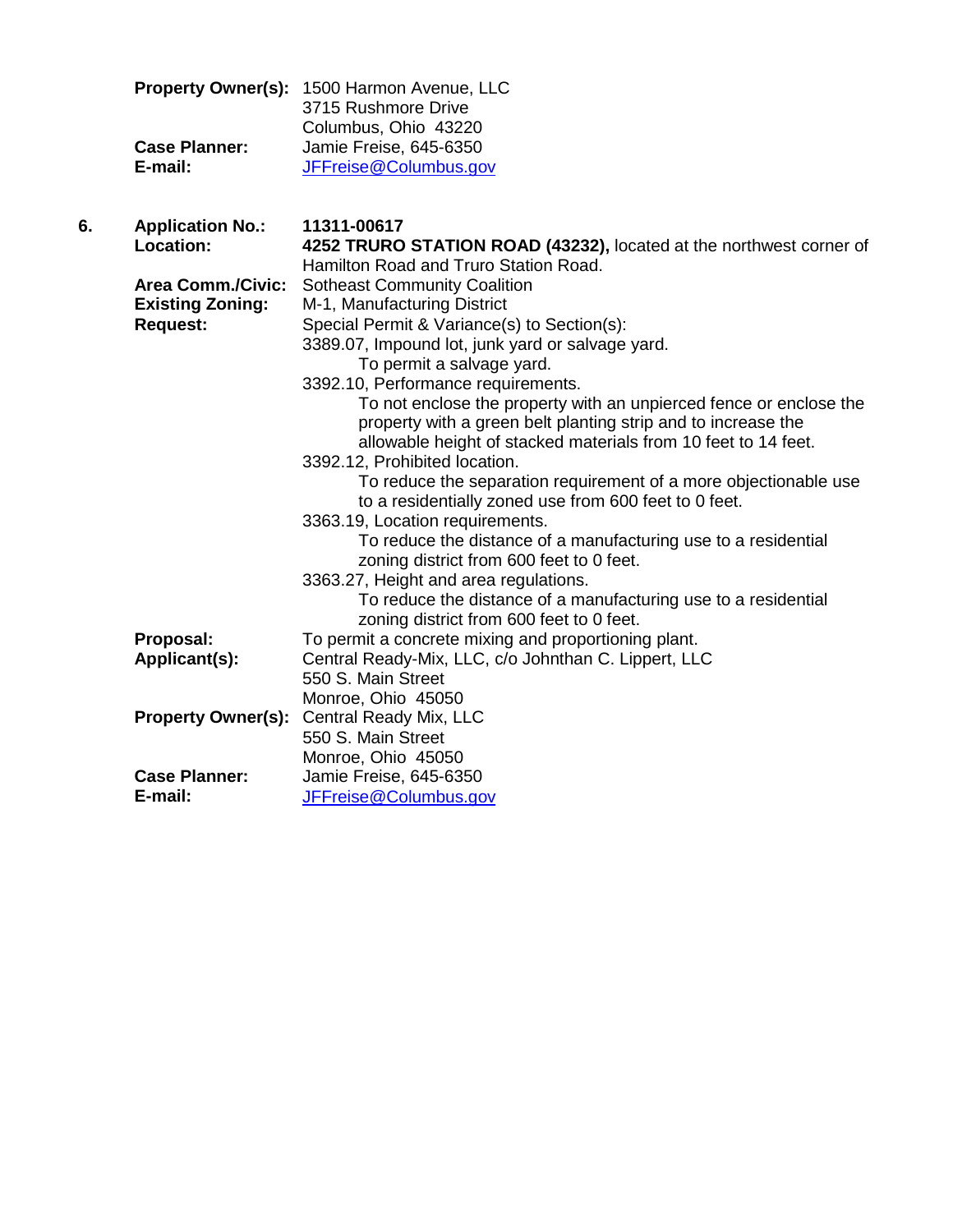|                      | <b>Property Owner(s): 1500 Harmon Avenue, LLC</b> |
|----------------------|---------------------------------------------------|
|                      | 3715 Rushmore Drive                               |
|                      | Columbus, Ohio 43220                              |
| <b>Case Planner:</b> | Jamie Freise, 645-6350                            |
| E-mail:              | JFFreise@Columbus.gov                             |

| 6. | <b>Application No.:</b>   | 11311-00617                                                         |
|----|---------------------------|---------------------------------------------------------------------|
|    | Location:                 | 4252 TRURO STATION ROAD (43232), located at the northwest corner of |
|    |                           | Hamilton Road and Truro Station Road.                               |
|    | <b>Area Comm./Civic:</b>  | <b>Sotheast Community Coalition</b>                                 |
|    | <b>Existing Zoning:</b>   | M-1, Manufacturing District                                         |
|    | <b>Request:</b>           | Special Permit & Variance(s) to Section(s):                         |
|    |                           | 3389.07, Impound lot, junk yard or salvage yard.                    |
|    |                           | To permit a salvage yard.                                           |
|    |                           | 3392.10, Performance requirements.                                  |
|    |                           | To not enclose the property with an unpierced fence or enclose the  |
|    |                           | property with a green belt planting strip and to increase the       |
|    |                           | allowable height of stacked materials from 10 feet to 14 feet.      |
|    |                           | 3392.12, Prohibited location.                                       |
|    |                           | To reduce the separation requirement of a more objectionable use    |
|    |                           | to a residentially zoned use from 600 feet to 0 feet.               |
|    |                           | 3363.19, Location requirements.                                     |
|    |                           | To reduce the distance of a manufacturing use to a residential      |
|    |                           | zoning district from 600 feet to 0 feet.                            |
|    |                           | 3363.27, Height and area regulations.                               |
|    |                           | To reduce the distance of a manufacturing use to a residential      |
|    |                           | zoning district from 600 feet to 0 feet.                            |
|    | Proposal:                 | To permit a concrete mixing and proportioning plant.                |
|    | Applicant(s):             | Central Ready-Mix, LLC, c/o Johnthan C. Lippert, LLC                |
|    |                           | 550 S. Main Street                                                  |
|    |                           | Monroe, Ohio 45050                                                  |
|    | <b>Property Owner(s):</b> | Central Ready Mix, LLC                                              |
|    |                           | 550 S. Main Street                                                  |
|    |                           | Monroe, Ohio 45050                                                  |
|    | <b>Case Planner:</b>      | Jamie Freise, 645-6350                                              |
|    | E-mail:                   | JFFreise@Columbus.gov                                               |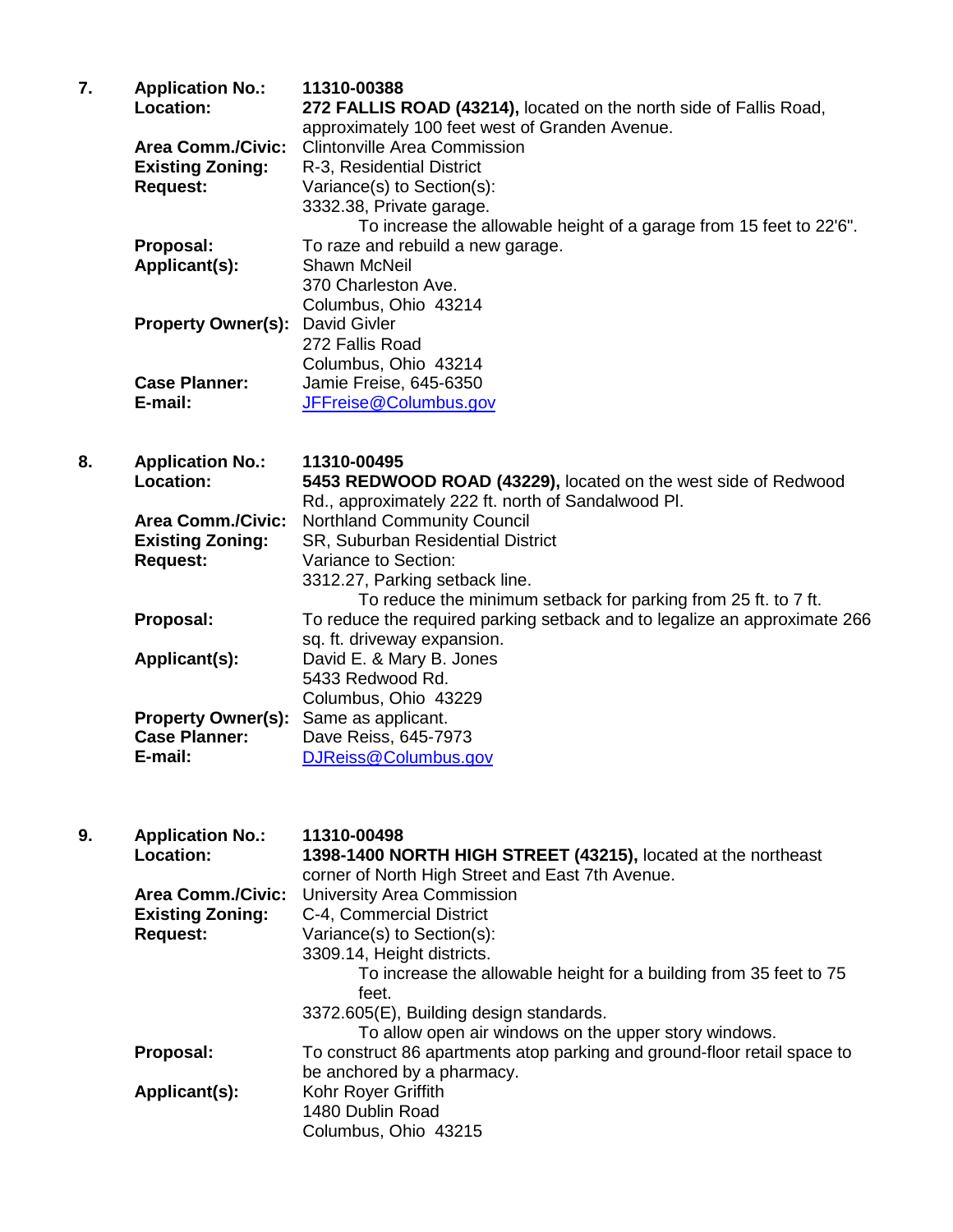| 7. | <b>Application No.:</b>   | 11310-00388                                                         |
|----|---------------------------|---------------------------------------------------------------------|
|    | Location:                 | 272 FALLIS ROAD (43214), located on the north side of Fallis Road,  |
|    |                           | approximately 100 feet west of Granden Avenue.                      |
|    | <b>Area Comm./Civic:</b>  | <b>Clintonville Area Commission</b>                                 |
|    | <b>Existing Zoning:</b>   | R-3, Residential District                                           |
|    | <b>Request:</b>           | Variance(s) to Section(s):                                          |
|    |                           | 3332.38, Private garage.                                            |
|    |                           | To increase the allowable height of a garage from 15 feet to 22'6". |
|    | Proposal:                 | To raze and rebuild a new garage.                                   |
|    | Applicant(s):             | <b>Shawn McNeil</b>                                                 |
|    |                           | 370 Charleston Ave.                                                 |
|    |                           | Columbus, Ohio 43214                                                |
|    | <b>Property Owner(s):</b> | <b>David Givler</b>                                                 |
|    |                           | 272 Fallis Road                                                     |
|    |                           | Columbus, Ohio 43214                                                |
|    | <b>Case Planner:</b>      | Jamie Freise, 645-6350                                              |
|    | E-mail:                   | JFFreise@Columbus.gov                                               |
|    |                           |                                                                     |

| 8. | <b>Application No.:</b><br>Location: | 11310-00495<br>5453 REDWOOD ROAD (43229), located on the west side of Redwood<br>Rd., approximately 222 ft. north of Sandalwood Pl. |
|----|--------------------------------------|-------------------------------------------------------------------------------------------------------------------------------------|
|    | <b>Area Comm./Civic:</b>             | <b>Northland Community Council</b>                                                                                                  |
|    | <b>Existing Zoning:</b>              | SR, Suburban Residential District                                                                                                   |
|    | <b>Request:</b>                      | Variance to Section:                                                                                                                |
|    |                                      | 3312.27, Parking setback line.                                                                                                      |
|    |                                      | To reduce the minimum setback for parking from 25 ft. to 7 ft.                                                                      |
|    | Proposal:                            | To reduce the required parking setback and to legalize an approximate 266                                                           |
|    |                                      | sq. ft. driveway expansion.                                                                                                         |
|    | Applicant(s):                        | David E. & Mary B. Jones                                                                                                            |
|    |                                      | 5433 Redwood Rd.                                                                                                                    |
|    |                                      | Columbus, Ohio 43229                                                                                                                |
|    | <b>Property Owner(s):</b>            | Same as applicant.                                                                                                                  |
|    | <b>Case Planner:</b>                 | Dave Reiss, 645-7973                                                                                                                |
|    | E-mail:                              | DJReiss@Columbus.gov                                                                                                                |

| 9. | <b>Application No.:</b>  | 11310-00498                                                              |
|----|--------------------------|--------------------------------------------------------------------------|
|    | Location:                | 1398-1400 NORTH HIGH STREET (43215), located at the northeast            |
|    |                          | corner of North High Street and East 7th Avenue.                         |
|    | <b>Area Comm./Civic:</b> | <b>University Area Commission</b>                                        |
|    | <b>Existing Zoning:</b>  | C-4, Commercial District                                                 |
|    | <b>Request:</b>          | Variance(s) to Section(s):                                               |
|    |                          | 3309.14, Height districts.                                               |
|    |                          | To increase the allowable height for a building from 35 feet to 75       |
|    |                          | feet.                                                                    |
|    |                          | 3372.605(E), Building design standards.                                  |
|    |                          | To allow open air windows on the upper story windows.                    |
|    | Proposal:                | To construct 86 apartments atop parking and ground-floor retail space to |
|    |                          | be anchored by a pharmacy.                                               |
|    | Applicant(s):            | Kohr Royer Griffith                                                      |
|    |                          | 1480 Dublin Road                                                         |
|    |                          | Columbus, Ohio 43215                                                     |